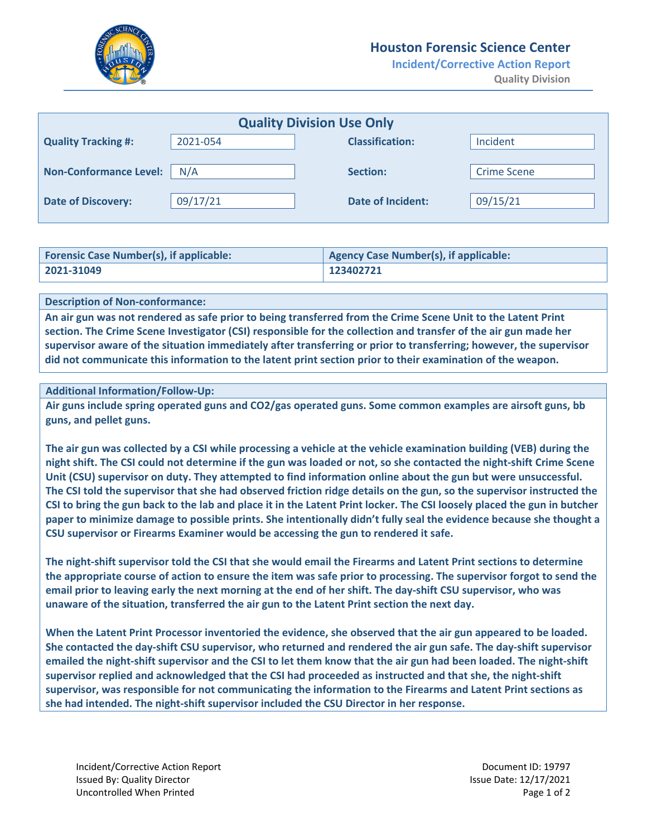

## **Houston Forensic Science Center**

**Incident/Corrective Action Report Quality Division**

| <b>Quality Division Use Only</b> |          |                          |                    |  |
|----------------------------------|----------|--------------------------|--------------------|--|
|                                  |          |                          |                    |  |
| <b>Quality Tracking #:</b>       | 2021-054 | <b>Classification:</b>   | Incident           |  |
|                                  |          |                          |                    |  |
| <b>Non-Conformance Level:</b>    | N/A      | Section:                 | <b>Crime Scene</b> |  |
|                                  |          |                          |                    |  |
|                                  |          |                          |                    |  |
| <b>Date of Discovery:</b>        | 09/17/21 | <b>Date of Incident:</b> | 09/15/21           |  |
|                                  |          |                          |                    |  |

| <b>Forensic Case Number(s), if applicable:</b> | Agency Case Number(s), if applicable: |
|------------------------------------------------|---------------------------------------|
| $2021 - 31049$                                 | 123402721                             |

#### **Description of Non‐conformance:**

An air gun was not rendered as safe prior to being transferred from the Crime Scene Unit to the Latent Print section. The Crime Scene Investigator (CSI) responsible for the collection and transfer of the air gun made her **supervisor aware of the situation immediately after transferring or prior to transferring; however, the supervisor** did not communicate this information to the latent print section prior to their examination of the weapon.

#### **Additional Information/Follow‐Up:**

Air guns include spring operated guns and CO2/gas operated guns. Some common examples are airsoft guns, bb **guns, and pellet guns.**

The air gun was collected by a CSI while processing a vehicle at the vehicle examination building (VEB) during the night shift. The CSI could not determine if the gun was loaded or not, so she contacted the night-shift Crime Scene Unit (CSU) supervisor on duty. They attempted to find information online about the gun but were unsuccessful. The CSI told the supervisor that she had observed friction ridge details on the gun, so the supervisor instructed the CSI to bring the gun back to the lab and place it in the Latent Print locker. The CSI loosely placed the gun in butcher paper to minimize damage to possible prints. She intentionally didn't fully seal the evidence because she thought a **CSU supervisor or Firearms Examiner would be accessing the gun to rendered it safe.**

The night-shift supervisor told the CSI that she would email the Firearms and Latent Print sections to determine the appropriate course of action to ensure the item was safe prior to processing. The supervisor forgot to send the email prior to leaving early the next morning at the end of her shift. The day-shift CSU supervisor, who was **unaware of the situation, transferred the air gun to the Latent Print section the next day.**

When the Latent Print Processor inventoried the evidence, she observed that the air gun appeared to be loaded. She contacted the day-shift CSU supervisor, who returned and rendered the air gun safe. The day-shift supervisor emailed the night-shift supervisor and the CSI to let them know that the air gun had been loaded. The night-shift supervisor replied and acknowledged that the CSI had proceeded as instructed and that she, the night-shift **supervisor, was responsible for not communicating the information to the Firearms and Latent Print sections as she had intended. The night‐shift supervisor included the CSU Director in her response.**